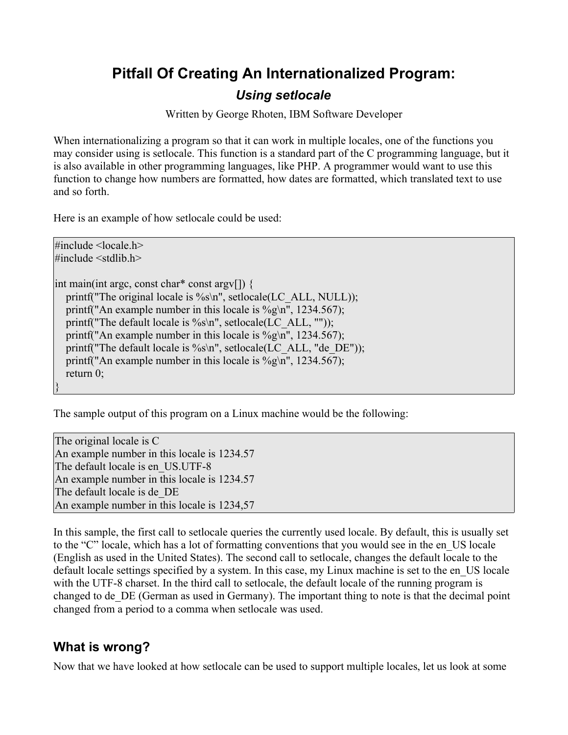## **Pitfall Of Creating An Internationalized Program:**

#### *Using setlocale*

Written by George Rhoten, IBM Software Developer

When internationalizing a program so that it can work in multiple locales, one of the functions you may consider using is setlocale. This function is a standard part of the C programming language, but it is also available in other programming languages, like PHP. A programmer would want to use this function to change how numbers are formatted, how dates are formatted, which translated text to use and so forth.

Here is an example of how setlocale could be used:

 $\#$ include  $\le$ locale h $>$  $\#$ include  $\le$ stdlib h $>$ 

int main(int argc, const char\* const argv[]) { printf("The original locale is %s\n", setlocale(LC\_ALL, NULL)); printf("An example number in this locale is  $\%$ g\n", 1234.567); printf("The default locale is  $\%s\$  n", setlocale(LC\_ALL, "")); printf("An example number in this locale is  $\%g\$ n", 1234.567); printf("The default locale is  $\%s\$  n", setlocale(LC\_ALL, "de\_DE")); printf("An example number in this locale is %g\n", 1234.567); return 0; }

The sample output of this program on a Linux machine would be the following:

The original locale is C An example number in this locale is 1234.57 The default locale is en\_US.UTF-8 An example number in this locale is 1234.57 The default locale is de\_DE An example number in this locale is 1234,57

In this sample, the first call to setlocale queries the currently used locale. By default, this is usually set to the "C" locale, which has a lot of formatting conventions that you would see in the en\_US locale (English as used in the United States). The second call to setlocale, changes the default locale to the default locale settings specified by a system. In this case, my Linux machine is set to the en\_US locale with the UTF-8 charset. In the third call to setlocale, the default locale of the running program is changed to de\_DE (German as used in Germany). The important thing to note is that the decimal point changed from a period to a comma when setlocale was used.

#### **What is wrong?**

Now that we have looked at how setlocale can be used to support multiple locales, let us look at some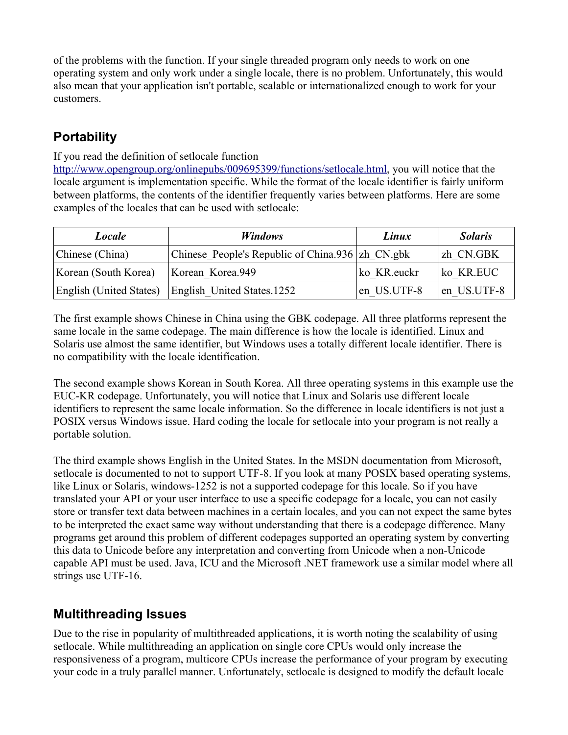of the problems with the function. If your single threaded program only needs to work on one operating system and only work under a single locale, there is no problem. Unfortunately, this would also mean that your application isn't portable, scalable or internationalized enough to work for your customers.

# **Portability**

If you read the definition of setlocale function

<http://www.opengroup.org/onlinepubs/009695399/functions/setlocale.html>, you will notice that the locale argument is implementation specific. While the format of the locale identifier is fairly uniform between platforms, the contents of the identifier frequently varies between platforms. Here are some examples of the locales that can be used with setlocale:

| Locale                         | <i>Windows</i>                                   | Linux       | <i>Solaris</i> |
|--------------------------------|--------------------------------------------------|-------------|----------------|
| Chinese (China)                | Chinese People's Republic of China.936 zh CN.gbk |             | zh CN.GBK      |
| Korean (South Korea)           | Korean Korea.949                                 | ko KR.euckr | ko KR.EUC      |
| <b>English (United States)</b> | English United States.1252                       | en US.UTF-8 | len US.UTF-8   |

The first example shows Chinese in China using the GBK codepage. All three platforms represent the same locale in the same codepage. The main difference is how the locale is identified. Linux and Solaris use almost the same identifier, but Windows uses a totally different locale identifier. There is no compatibility with the locale identification.

The second example shows Korean in South Korea. All three operating systems in this example use the EUC-KR codepage. Unfortunately, you will notice that Linux and Solaris use different locale identifiers to represent the same locale information. So the difference in locale identifiers is not just a POSIX versus Windows issue. Hard coding the locale for setlocale into your program is not really a portable solution.

The third example shows English in the United States. In the MSDN documentation from Microsoft, setlocale is documented to not to support UTF-8. If you look at many POSIX based operating systems, like Linux or Solaris, windows-1252 is not a supported codepage for this locale. So if you have translated your API or your user interface to use a specific codepage for a locale, you can not easily store or transfer text data between machines in a certain locales, and you can not expect the same bytes to be interpreted the exact same way without understanding that there is a codepage difference. Many programs get around this problem of different codepages supported an operating system by converting this data to Unicode before any interpretation and converting from Unicode when a non-Unicode capable API must be used. Java, ICU and the Microsoft .NET framework use a similar model where all strings use UTF-16.

### **Multithreading Issues**

Due to the rise in popularity of multithreaded applications, it is worth noting the scalability of using setlocale. While multithreading an application on single core CPUs would only increase the responsiveness of a program, multicore CPUs increase the performance of your program by executing your code in a truly parallel manner. Unfortunately, setlocale is designed to modify the default locale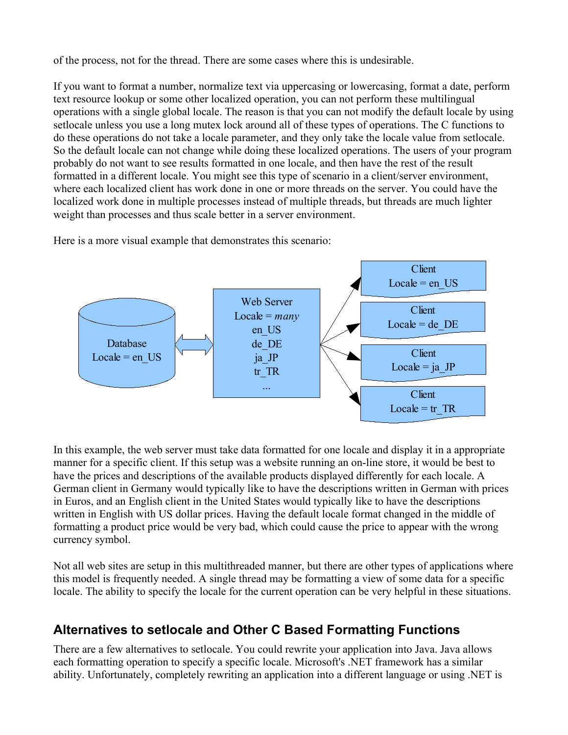of the process, not for the thread. There are some cases where this is undesirable.

If you want to format a number, normalize text via uppercasing or lowercasing, format a date, perform text resource lookup or some other localized operation, you can not perform these multilingual operations with a single global locale. The reason is that you can not modify the default locale by using setlocale unless you use a long mutex lock around all of these types of operations. The C functions to do these operations do not take a locale parameter, and they only take the locale value from setlocale. So the default locale can not change while doing these localized operations. The users of your program probably do not want to see results formatted in one locale, and then have the rest of the result formatted in a different locale. You might see this type of scenario in a client/server environment, where each localized client has work done in one or more threads on the server. You could have the localized work done in multiple processes instead of multiple threads, but threads are much lighter weight than processes and thus scale better in a server environment.

Here is a more visual example that demonstrates this scenario:



In this example, the web server must take data formatted for one locale and display it in a appropriate manner for a specific client. If this setup was a website running an on-line store, it would be best to have the prices and descriptions of the available products displayed differently for each locale. A German client in Germany would typically like to have the descriptions written in German with prices in Euros, and an English client in the United States would typically like to have the descriptions written in English with US dollar prices. Having the default locale format changed in the middle of formatting a product price would be very bad, which could cause the price to appear with the wrong currency symbol.

Not all web sites are setup in this multithreaded manner, but there are other types of applications where this model is frequently needed. A single thread may be formatting a view of some data for a specific locale. The ability to specify the locale for the current operation can be very helpful in these situations.

### **Alternatives to setlocale and Other C Based Formatting Functions**

There are a few alternatives to setlocale. You could rewrite your application into Java. Java allows each formatting operation to specify a specific locale. Microsoft's .NET framework has a similar ability. Unfortunately, completely rewriting an application into a different language or using .NET is